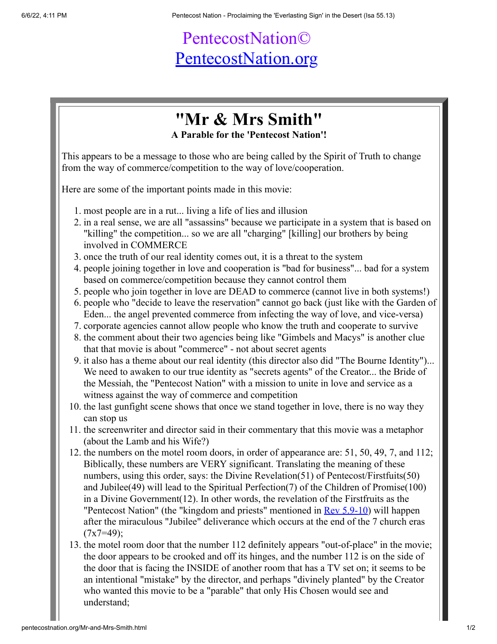## PentecostNation© [PentecostNation.org](http://pentecostnation.org/)

## **"Mr & Mrs Smith"**

**A Parable for the 'Pentecost Nation'!**

This appears to be a message to those who are being called by the Spirit of Truth to change from the way of commerce/competition to the way of love/cooperation.

Here are some of the important points made in this movie:

- 1. most people are in a rut... living a life of lies and illusion
- 2. in a real sense, we are all "assassins" because we participate in a system that is based on "killing" the competition... so we are all "charging" [killing] our brothers by being involved in COMMERCE
- 3. once the truth of our real identity comes out, it is a threat to the system
- 4. people joining together in love and cooperation is "bad for business"... bad for a system based on commerce/competition because they cannot control them
- 5. people who join together in love are DEAD to commerce (cannot live in both systems!)
- 6. people who "decide to leave the reservation" cannot go back (just like with the Garden of Eden... the angel prevented commerce from infecting the way of love, and vice-versa)
- 7. corporate agencies cannot allow people who know the truth and cooperate to survive
- 8. the comment about their two agencies being like "Gimbels and Macys" is another clue that that movie is about "commerce" - not about secret agents
- 9. it also has a theme about our real identity (this director also did "The Bourne Identity")... We need to awaken to our true identity as "secrets agents" of the Creator... the Bride of the Messiah, the "Pentecost Nation" with a mission to unite in love and service as a witness against the way of commerce and competition
- 10. the last gunfight scene shows that once we stand together in love, there is no way they can stop us
- 11. the screenwriter and director said in their commentary that this movie was a metaphor (about the Lamb and his Wife?)
- 12. the numbers on the motel room doors, in order of appearance are: 51, 50, 49, 7, and 112; Biblically, these numbers are VERY significant. Translating the meaning of these numbers, using this order, says: the Divine Revelation(51) of Pentecost/Firstfuits(50) and Jubilee(49) will lead to the Spiritual Perfection(7) of the Children of Promise(100) in a Divine Government(12). In other words, the revelation of the Firstfruits as the "Pentecost Nation" (the "kingdom and priests" mentioned in <u>[Rev 5.9-10](http://www.studylight.org/desk/?l=en&query=Revelation+5%3A9+-+10§ion=0&translation=nas&oq=Rev%25205%3A9-10&new=1&sr=1&nb=re&ng=5&ncc=5)</u>) will happen after the miraculous "Jubilee" deliverance which occurs at the end of the 7 church eras  $(7x7=49)$ ;
- 13. the motel room door that the number 112 definitely appears "out-of-place" in the movie; the door appears to be crooked and off its hinges, and the number 112 is on the side of the door that is facing the INSIDE of another room that has a TV set on; it seems to be an intentional "mistake" by the director, and perhaps "divinely planted" by the Creator who wanted this movie to be a "parable" that only His Chosen would see and understand;